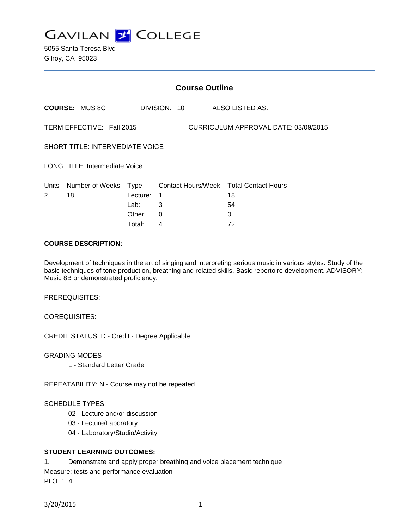

5055 Santa Teresa Blvd Gilroy, CA 95023

|                                                                   |                       |          | <b>Course Outline</b> |                                        |
|-------------------------------------------------------------------|-----------------------|----------|-----------------------|----------------------------------------|
|                                                                   | <b>COURSE: MUS 8C</b> |          | DIVISION: 10          | ALSO LISTED AS:                        |
| CURRICULUM APPROVAL DATE: 03/09/2015<br>TERM EFFECTIVE: Fall 2015 |                       |          |                       |                                        |
| <b>SHORT TITLE: INTERMEDIATE VOICE</b>                            |                       |          |                       |                                        |
| <b>LONG TITLE: Intermediate Voice</b>                             |                       |          |                       |                                        |
| Units                                                             | Number of Weeks Type  |          |                       | Contact Hours/Week Total Contact Hours |
| 2                                                                 | 18                    | Lecture: | 1                     | 18                                     |
|                                                                   |                       | Lab:     | 3                     | 54                                     |
|                                                                   |                       | Other:   | $\Omega$              | 0                                      |
|                                                                   |                       | Total:   | 4                     | 72                                     |

### **COURSE DESCRIPTION:**

Development of techniques in the art of singing and interpreting serious music in various styles. Study of the basic techniques of tone production, breathing and related skills. Basic repertoire development. ADVISORY: Music 8B or demonstrated proficiency.

PREREQUISITES:

COREQUISITES:

CREDIT STATUS: D - Credit - Degree Applicable

GRADING MODES

L - Standard Letter Grade

REPEATABILITY: N - Course may not be repeated

### SCHEDULE TYPES:

- 02 Lecture and/or discussion
- 03 Lecture/Laboratory
- 04 Laboratory/Studio/Activity

### **STUDENT LEARNING OUTCOMES:**

1. Demonstrate and apply proper breathing and voice placement technique

Measure: tests and performance evaluation

PLO: 1, 4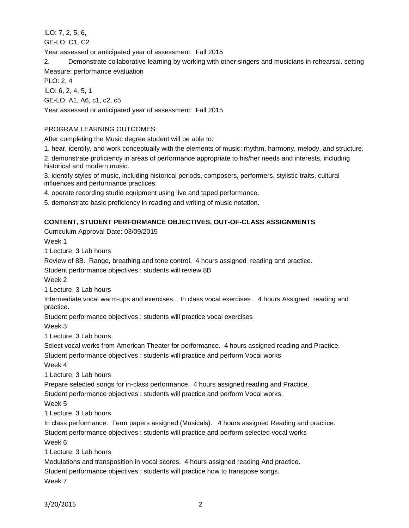ILO: 7, 2, 5, 6, GE-LO: C1, C2

Year assessed or anticipated year of assessment: Fall 2015

2. Demonstrate collaborative learning by working with other singers and musicians in rehearsal. setting Measure: performance evaluation

PLO: 2, 4

ILO: 6, 2, 4, 5, 1

GE-LO: A1, A6, c1, c2, c5

Year assessed or anticipated year of assessment: Fall 2015

# PROGRAM LEARNING OUTCOMES:

After completing the Music degree student will be able to:

1. hear, identify, and work conceptually with the elements of music: rhythm, harmony, melody, and structure.

2. demonstrate proficiency in areas of performance appropriate to his/her needs and interests, including historical and modern music.

3. identify styles of music, including historical periods, composers, performers, stylistic traits, cultural influences and performance practices.

4. operate recording studio equipment using live and taped performance.

5. demonstrate basic proficiency in reading and writing of music notation.

## **CONTENT, STUDENT PERFORMANCE OBJECTIVES, OUT-OF-CLASS ASSIGNMENTS**

Curriculum Approval Date: 03/09/2015

Week 1

1 Lecture, 3 Lab hours

Review of 8B. Range, breathing and tone control. 4 hours assigned reading and practice.

Student performance objectives : students will review 8B

Week 2

1 Lecture, 3 Lab hours

Intermediate vocal warm-ups and exercises.. In class vocal exercises . 4 hours Assigned reading and practice.

Student performance objectives : students will practice vocal exercises

Week 3

1 Lecture, 3 Lab hours

Select vocal works from American Theater for performance. 4 hours assigned reading and Practice.

Student performance objectives : students will practice and perform Vocal works

Week 4

1 Lecture, 3 Lab hours

Prepare selected songs for in-class performance. 4 hours assigned reading and Practice.

Student performance objectives : students will practice and perform Vocal works.

Week 5

1 Lecture, 3 Lab hours

In class performance. Term papers assigned (Musicals). 4 hours assigned Reading and practice. Student performance objectives : students will practice and perform selected vocal works Week 6

1 Lecture, 3 Lab hours

Modulations and transposition in vocal scores. 4 hours assigned reading And practice.

Student performance objectives : students will practice how to transpose songs.

Week 7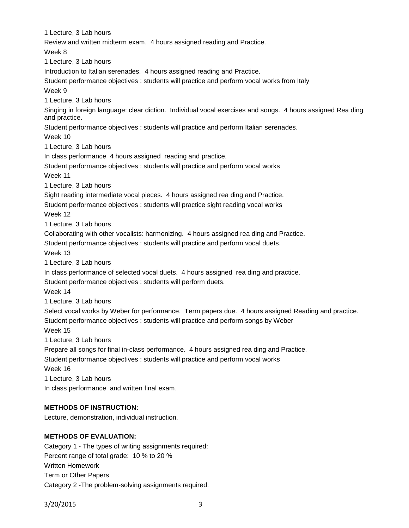1 Lecture, 3 Lab hours Review and written midterm exam. 4 hours assigned reading and Practice. Week 8 1 Lecture, 3 Lab hours Introduction to Italian serenades. 4 hours assigned reading and Practice. Student performance objectives : students will practice and perform vocal works from Italy Week 9 1 Lecture, 3 Lab hours Singing in foreign language: clear diction. Individual vocal exercises and songs. 4 hours assigned Rea ding and practice. Student performance objectives : students will practice and perform Italian serenades. Week 10 1 Lecture, 3 Lab hours In class performance 4 hours assigned reading and practice. Student performance objectives : students will practice and perform vocal works Week 11 1 Lecture, 3 Lab hours Sight reading intermediate vocal pieces. 4 hours assigned rea ding and Practice. Student performance objectives : students will practice sight reading vocal works Week 12 1 Lecture, 3 Lab hours Collaborating with other vocalists: harmonizing. 4 hours assigned rea ding and Practice. Student performance objectives : students will practice and perform vocal duets. Week 13 1 Lecture, 3 Lab hours In class performance of selected vocal duets. 4 hours assigned rea ding and practice. Student performance objectives : students will perform duets. Week 14 1 Lecture, 3 Lab hours Select vocal works by Weber for performance. Term papers due. 4 hours assigned Reading and practice. Student performance objectives : students will practice and perform songs by Weber Week 15 1 Lecture, 3 Lab hours Prepare all songs for final in-class performance. 4 hours assigned rea ding and Practice. Student performance objectives : students will practice and perform vocal works Week 16 1 Lecture, 3 Lab hours In class performance and written final exam. **METHODS OF INSTRUCTION:** Lecture, demonstration, individual instruction.

# **METHODS OF EVALUATION:**

Category 1 - The types of writing assignments required: Percent range of total grade: 10 % to 20 % Written Homework Term or Other Papers Category 2 -The problem-solving assignments required:

3/20/2015 3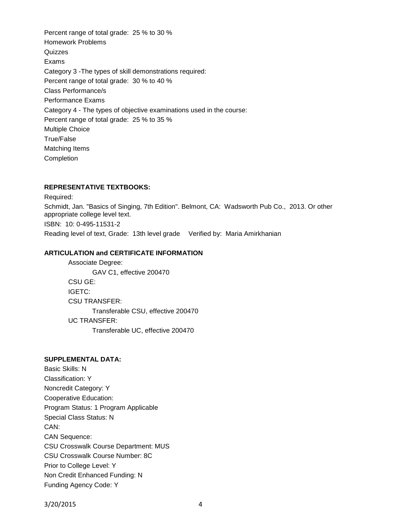Percent range of total grade: 25 % to 30 % Homework Problems **Quizzes** Exams Category 3 -The types of skill demonstrations required: Percent range of total grade: 30 % to 40 % Class Performance/s Performance Exams Category 4 - The types of objective examinations used in the course: Percent range of total grade: 25 % to 35 % Multiple Choice True/False Matching Items Completion

## **REPRESENTATIVE TEXTBOOKS:**

Required: Schmidt, Jan. "Basics of Singing, 7th Edition". Belmont, CA: Wadsworth Pub Co., 2013. Or other appropriate college level text. ISBN: 10: 0-495-11531-2 Reading level of text, Grade: 13th level grade Verified by: Maria Amirkhanian

## **ARTICULATION and CERTIFICATE INFORMATION**

Associate Degree: GAV C1, effective 200470 CSU GE: IGETC: CSU TRANSFER: Transferable CSU, effective 200470 UC TRANSFER: Transferable UC, effective 200470

## **SUPPLEMENTAL DATA:**

Basic Skills: N Classification: Y Noncredit Category: Y Cooperative Education: Program Status: 1 Program Applicable Special Class Status: N CAN: CAN Sequence: CSU Crosswalk Course Department: MUS CSU Crosswalk Course Number: 8C Prior to College Level: Y Non Credit Enhanced Funding: N Funding Agency Code: Y

3/20/2015 4